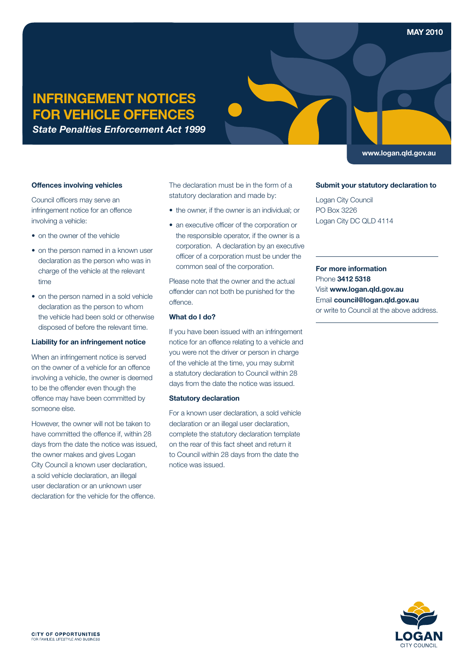# **INFRINGEMENT NOTICES FOR VEHICLE OFFENCES**

*State Penalties Enforcement Act 1999* 

## **<www.logan.qld.gov.au>**

#### **Offences involving vehicles**

Council officers may serve an infringement notice for an offence involving a vehicle:

- on the owner of the vehicle
- on the person named in a known user declaration as the person who was in charge of the vehicle at the relevant time
- on the person named in a sold vehicle declaration as the person to whom the vehicle had been sold or otherwise disposed of before the relevant time.

#### **Liability for an infringement notice**

When an infringement notice is served on the owner of a vehicle for an offence involving a vehicle, the owner is deemed to be the offender even though the offence may have been committed by someone else.

However, the owner will not be taken to have committed the offence if, within 28 days from the date the notice was issued, the owner makes and gives Logan City Council a known user declaration, a sold vehicle declaration, an illegal user declaration or an unknown user declaration for the vehicle for the offence.

The declaration must be in the form of a statutory declaration and made by:

- the owner, if the owner is an individual; or
- an executive officer of the corporation or the responsible operator, if the owner is a corporation. A declaration by an executive officer of a corporation must be under the common seal of the corporation.

Please note that the owner and the actual offender can not both be punished for the offence.

## **What do I do?**

If you have been issued with an infringement notice for an offence relating to a vehicle and you were not the driver or person in charge of the vehicle at the time, you may submit a statutory declaration to Council within 28 days from the date the notice was issued.

### **Statutory declaration**

For a known user declaration, a sold vehicle declaration or an illegal user declaration. complete the statutory declaration template on the rear of this fact sheet and return it to Council within 28 days from the date the notice was issued.

### **Submit your statutory declaration to**

Logan City Council PO Box 3226 Logan City DC QLD 4114

**For more information**  Phone **3412 5318**  Visit **<www.logan.qld.gov.au>**  Email **[council@logan.qld.gov.au](mailto: council@logan.qld.gov.au)**  or write to Council at the above address.